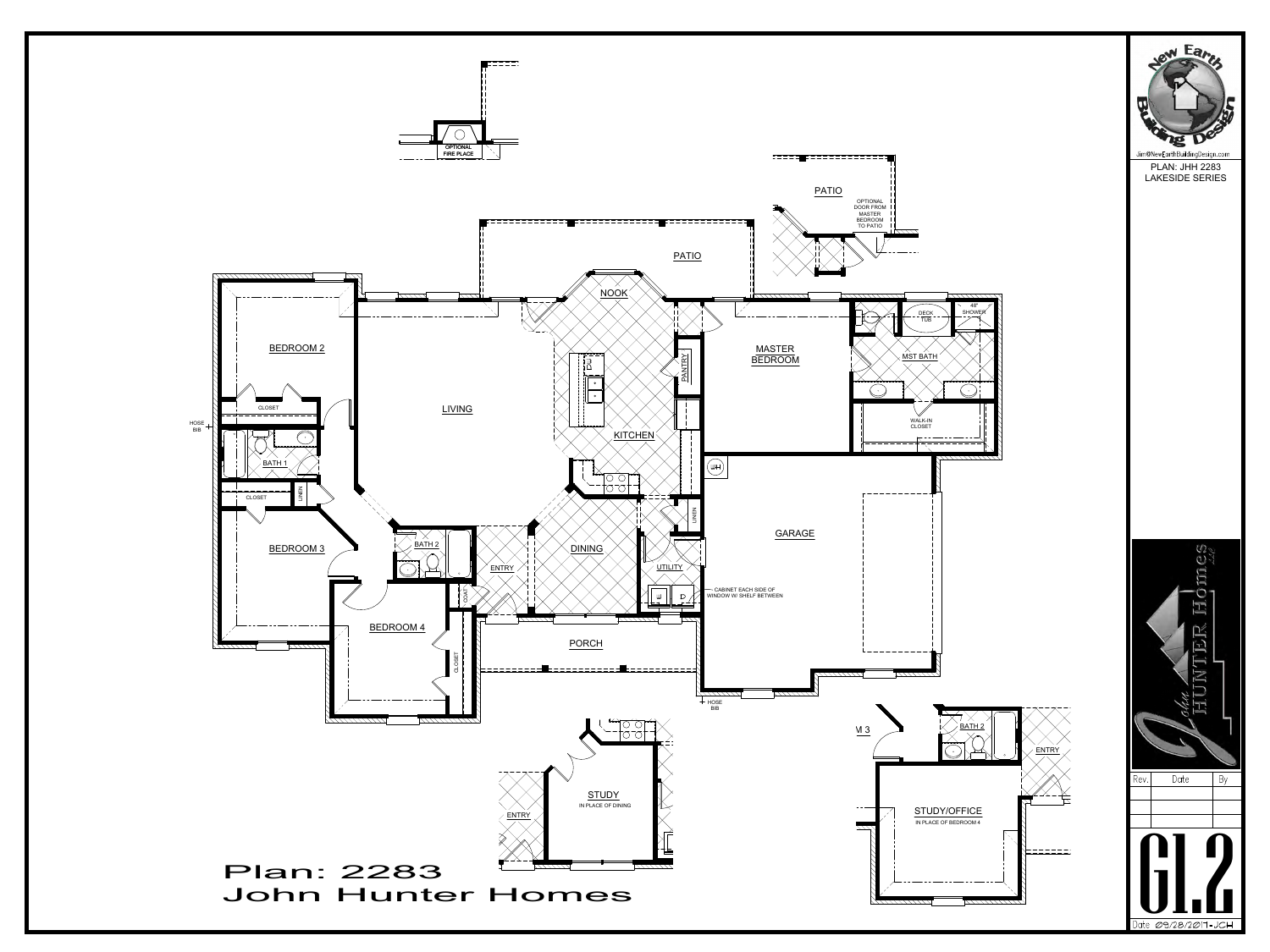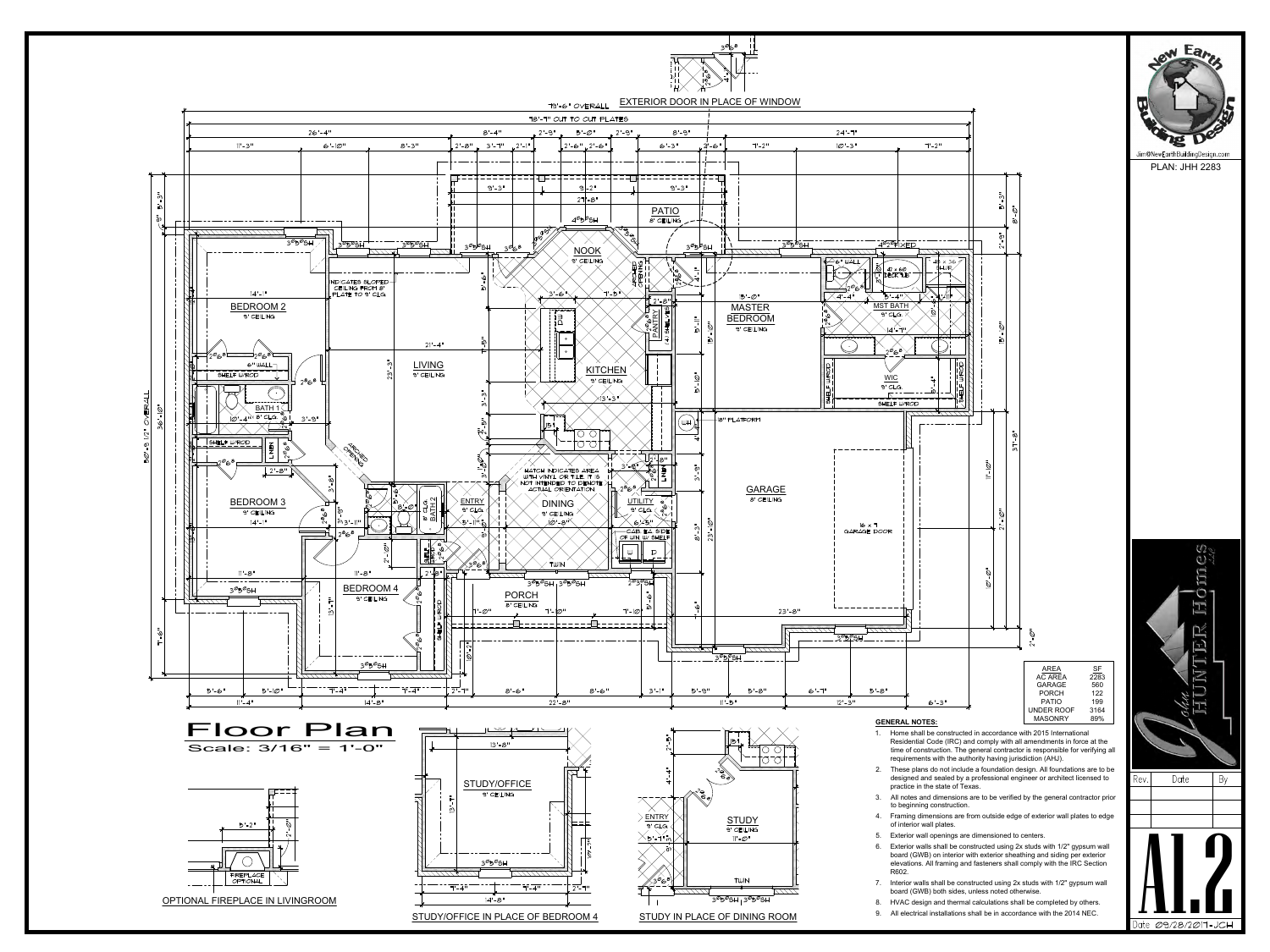

- 
- 
- 
- 
- 
- 
- 
- 
-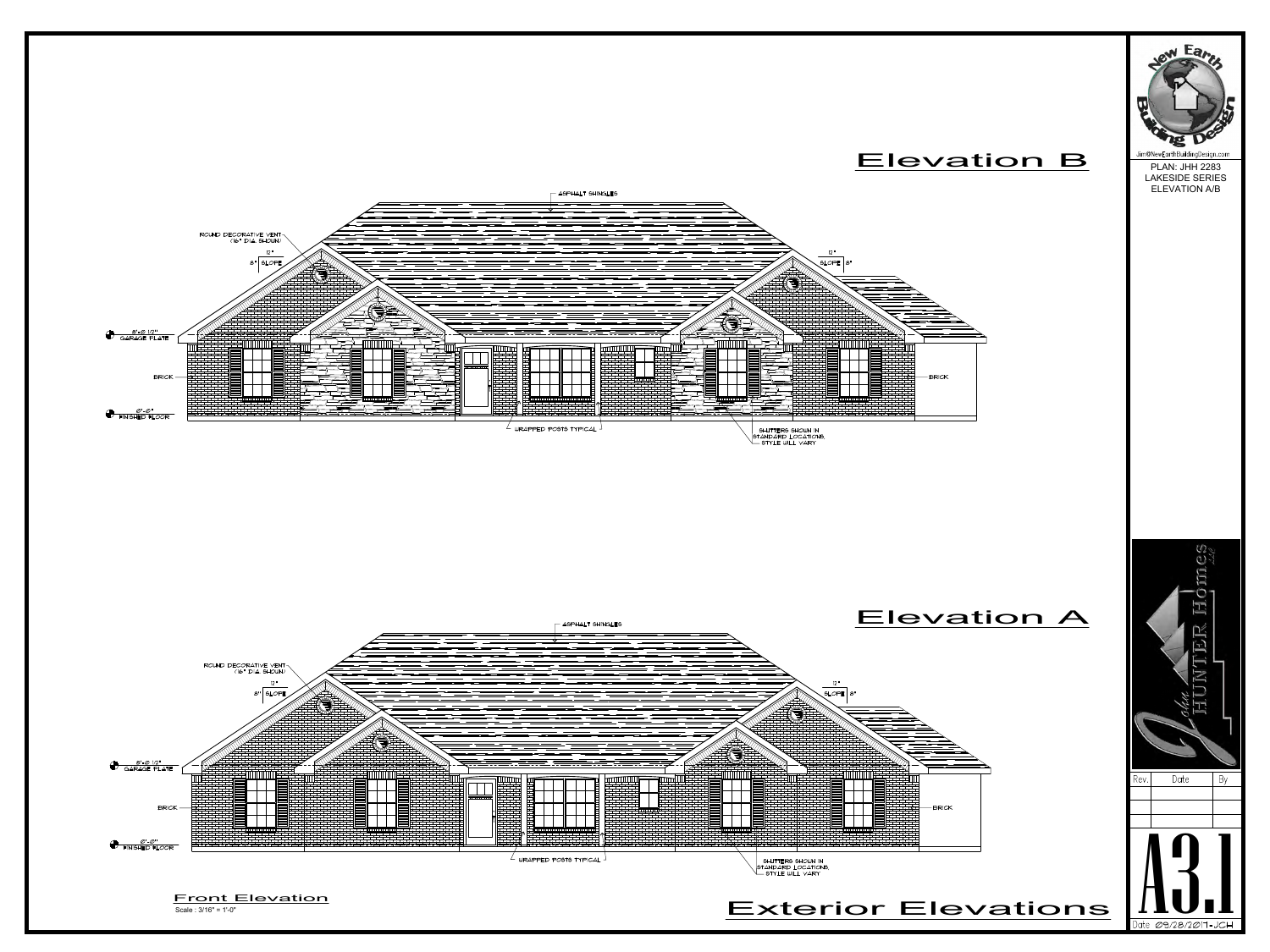





PLAN: JHH 2283 LAKESIDE SERIES ELEVATION A/B

## Elevation B